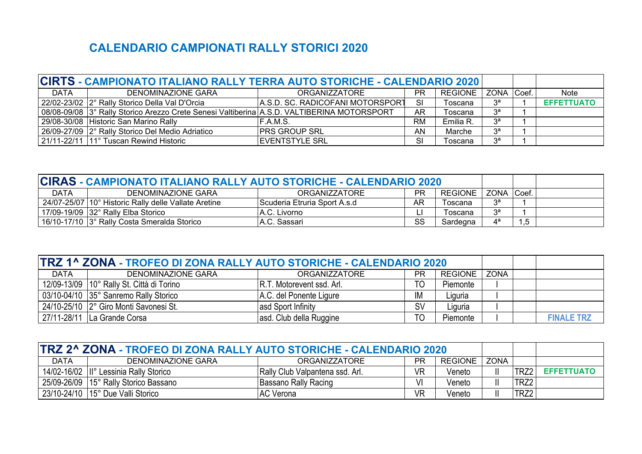# **CALENDARIO CAMPIONATI RALLY STORICI 2020**

| CIRTS - CAMPIONATO ITALIANO RALLY TERRA AUTO STORICHE - CALENDARIO 2020 |                                                                                            |                                  |           |           |                  |       |                   |
|-------------------------------------------------------------------------|--------------------------------------------------------------------------------------------|----------------------------------|-----------|-----------|------------------|-------|-------------------|
| <b>DATA</b>                                                             | DENOMINAZIONE GARA                                                                         | ORGANIZZATORE                    | <b>PR</b> | REGIONE   | <b>ZONA</b>      | Coef. | <b>Note</b>       |
|                                                                         | 22/02-23/02 2° Rally Storico Della Val D'Orcia                                             | A.S.D. SC. RADICOFANI MOTORSPORT | -SI       | Toscana   | $3^{\mathsf{a}}$ |       | <b>EFFETTUATO</b> |
|                                                                         | 08/08-09/08 3° Rally Storico Arezzo Crete Senesi Valtiberina A.S.D. VALTIBERINA MOTORSPORT |                                  | <b>AR</b> | Toscana   | $3^{\mathsf{a}}$ |       |                   |
|                                                                         | 29/08-30/08 Historic San Marino Rally                                                      | IF.A.M.S.                        | <b>RM</b> | Emilia R. | $3^a$            |       |                   |
|                                                                         | 26/09-27/09 2° Rally Storico Del Medio Adriatico                                           | <b>PRS GROUP SRL</b>             | AN        | Marche    | 3 <sup>a</sup>   |       |                   |
|                                                                         | 21/11-22/11 11° Tuscan Rewind Historic                                                     | <b>IEVENTSTYLE SRL</b>           | SI        | Toscana   | 3 <sup>a</sup>   |       |                   |

| CIRAS - CAMPIONATO ITALIANO RALLY AUTO STORICHE - CALENDARIO 2020 |                                                        |                              |           |                |         |       |  |
|-------------------------------------------------------------------|--------------------------------------------------------|------------------------------|-----------|----------------|---------|-------|--|
| <b>DATA</b>                                                       | DENOMINAZIONE GARA                                     | ORGANIZZATORE                | PR        | <b>REGIONE</b> | ZONA    | Coef. |  |
|                                                                   | 24/07-25/07   10° Historic Rally delle Vallate Aretine | Scuderia Etruria Sport A.s.d | <b>AR</b> | Toscana        | Ωa<br>ີ |       |  |
|                                                                   | 17/09-19/09 32° Rally Elba Storico                     | A.C. Livorno                 |           | Toscana        | Ωa<br>ັ |       |  |
|                                                                   | 16/10-17/10 3° Rally Costa Smeralda Storico            | IA.C. Sassari                | SS        | Sardegna       | 4ª      | 1,5   |  |

| <b>TRZ 1^ ZONA - TROFEO DI ZONA RALLY AUTO STORICHE - CALENDARIO 2020</b> |                                             |                                  |           |                |      |                   |
|---------------------------------------------------------------------------|---------------------------------------------|----------------------------------|-----------|----------------|------|-------------------|
| <b>DATA</b>                                                               | <b>DENOMINAZIONE GARA</b>                   | <b>ORGANIZZATORE</b>             | PR        | <b>REGIONE</b> | ZONA |                   |
|                                                                           | 12/09-13/09   10° Rally St. Città di Torino | <b>R.T. Motorevent ssd. Arl.</b> | TO        | Piemonte       |      |                   |
|                                                                           | 03/10-04/10 35° Sanremo Rally Storico       | A.C. del Ponente Ligure          | ΙM        | Liguria        |      |                   |
|                                                                           | 24/10-25/10 2° Giro Monti Savonesi St.      | asd Sport Infinity               | <b>SV</b> | Liguria        |      |                   |
|                                                                           | 27/11-28/11 La Grande Corsa                 | asd. Club della Ruggine          | TO        | Piemonte       |      | <b>FINALE TRZ</b> |

| <b>ITRZ 2^ ZONA - TROFEO DI ZONA RALLY AUTO STORICHE - CALENDARIO 2020</b> |                                       |                                 |           |                |             |      |                   |
|----------------------------------------------------------------------------|---------------------------------------|---------------------------------|-----------|----------------|-------------|------|-------------------|
| <b>DATA</b>                                                                | DENOMINAZIONE GARA                    | <b>ORGANIZZATORE</b>            | РR        | <b>REGIONE</b> | <b>ZONA</b> |      |                   |
| 14/02-16/02                                                                | lll°<br>Lessinia Rally Storico        | Rally Club Valpantena ssd. Arl. | VR        | Veneto         |             | TRZ2 | <b>EFFETTUATO</b> |
|                                                                            | 25/09-26/09 15° Rally Storico Bassano | Bassano Rally Racing            | ۷I        | Veneto         |             | TRZ2 |                   |
| 23/10-24/10                                                                | 15° Due Valli Storico                 | AC Verona                       | <b>VR</b> | Veneto         |             | TRZ2 |                   |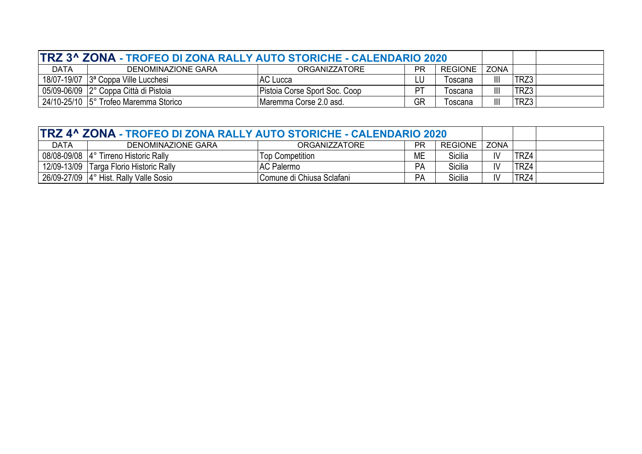| TRZ 3^ ZONA - TROFEO DI ZONA RALLY AUTO STORICHE - CALENDARIO 2020 |                                         |                               |    |                |                       |      |  |
|--------------------------------------------------------------------|-----------------------------------------|-------------------------------|----|----------------|-----------------------|------|--|
| <b>DATA</b>                                                        | DENOMINAZIONE GARA                      | <b>ORGANIZZATORE</b>          | ΡR | <b>REGIONE</b> | <b>ZONA</b>           |      |  |
|                                                                    | 18/07-19/07 $ 3^a$ Coppa Ville Lucchesi | AC Lucca                      | ⊥U | Toscana        | $\mathbf{III}$        | TRZ3 |  |
|                                                                    | 05/09-06/09 2° Coppa Città di Pistoia   | Pistoia Corse Sport Soc. Coop | PТ | Toscana        | $\mathbf{III}$        | TRZ3 |  |
|                                                                    | 24/10-25/10 5° Trofeo Maremma Storico   | Maremma Corse 2.0 asd.        | GR | Toscana        | $\parallel \parallel$ | TRZ3 |  |

| TRZ 4^ ZONA - TROFEO DI ZONA RALLY AUTO STORICHE - CALENDARIO 2020 |                                        |                           |    |                |                        |      |  |
|--------------------------------------------------------------------|----------------------------------------|---------------------------|----|----------------|------------------------|------|--|
| <b>DATA</b>                                                        | DENOMINAZIONE GARA                     | ORGANIZZATORE             | ΡR | <b>REGIONE</b> | <b>ZONA</b>            |      |  |
|                                                                    | 08/08-09/08 4° Tirreno Historic Rally  | <b>Top Competition</b>    | МE | Sicilia        | IV                     | TRZ4 |  |
| 12/09-13/09                                                        | Targa Florio Historic Rally            | AC Palermo                | PA | Sicilia        | $\mathsf{I}\mathsf{V}$ | TRZ4 |  |
|                                                                    | 26/09-27/09 4° Hist. Rally Valle Sosio | Comune di Chiusa Sclafani | PA | Sicilia        | IV                     | TRZ4 |  |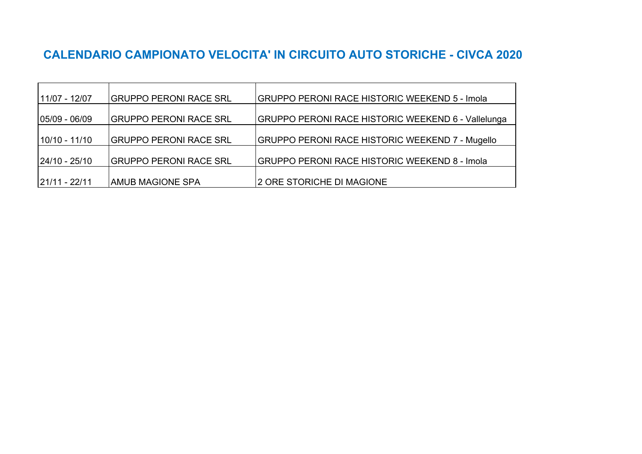## **CALENDARIO CAMPIONATO VELOCITA' IN CIRCUITO AUTO STORICHE - CIVCA 2020**

| 11/07 - 12/07     | GRUPPO PERONI RACE SRL        | GRUPPO PERONI RACE HISTORIC WEEKEND 5 - Imola             |
|-------------------|-------------------------------|-----------------------------------------------------------|
| $ 05/09 - 06/09 $ | GRUPPO PERONI RACE SRL        | <b>GRUPPO PERONI RACE HISTORIC WEEKEND 6 - Vallelunga</b> |
| $10/10 - 11/10$   | GRUPPO PERONI RACE SRL        | GRUPPO PERONI RACE HISTORIC WEEKEND 7 - Mugello           |
| $ 24/10 - 25/10 $ | <b>GRUPPO PERONI RACE SRL</b> | <b>GRUPPO PERONI RACE HISTORIC WEEKEND 8 - Imola</b>      |
| $ 21/11 - 22/11 $ | AMUB MAGIONE SPA              | 2 ORE STORICHE DI MAGIONE                                 |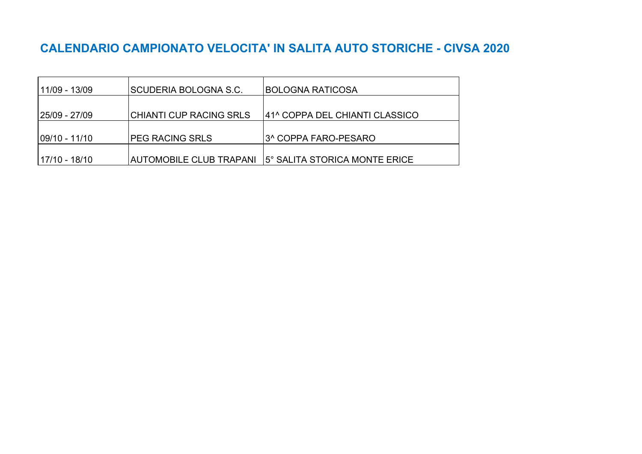# **CALENDARIO CAMPIONATO VELOCITA' IN SALITA AUTO STORICHE - CIVSA 2020**

| 11/09 - 13/09  | <b>SCUDERIA BOLOGNA S.C.</b>   | <b>BOLOGNA RATICOSA</b>        |
|----------------|--------------------------------|--------------------------------|
|                |                                |                                |
| 25/09 - 27/09  | <b>CHIANTI CUP RACING SRLS</b> | 41^ COPPA DEL CHIANTI CLASSICO |
| l09/10 - 11/10 | <b>PEG RACING SRLS</b>         | I3^ COPPA FARO-PESARO          |
| 17/10 - 18/10  | <b>AUTOMOBILE CLUB TRAPANI</b> | l5° SALITA STORICA MONTE ERICE |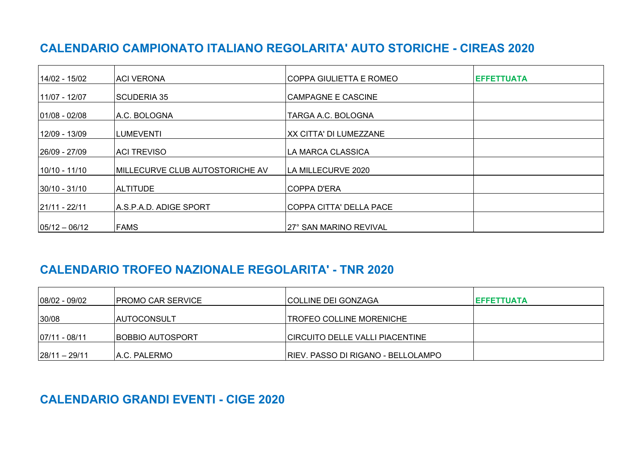## **CALENDARIO CAMPIONATO ITALIANO REGOLARITA' AUTO STORICHE - CIREAS 2020**

| 14/02 - 15/02     | ACI VERONA                      | COPPA GIULIETTA E ROMEO       | <b>EFFETTUATA</b> |
|-------------------|---------------------------------|-------------------------------|-------------------|
| 11/07 - 12/07     | SCUDERIA 35                     | CAMPAGNE E CASCINE            |                   |
| 01/08 - 02/08     | A.C. BOLOGNA                    | TARGA A.C. BOLOGNA            |                   |
| 12/09 - 13/09     | LUMEVENTI                       | <b>XX CITTA' DI LUMEZZANE</b> |                   |
| 26/09 - 27/09     | ACI TREVISO                     | LA MARCA CLASSICA             |                   |
| 10/10 - 11/10     | MILLECURVE CLUB AUTOSTORICHE AV | LA MILLECURVE 2020            |                   |
| 30/10 - 31/10     | <b>ALTITUDE</b>                 | COPPA D'ERA                   |                   |
| 21/11 - 22/11     | A.S.P.A.D. ADIGE SPORT          | COPPA CITTA' DELLA PACE       |                   |
| $ 05/12 - 06/12 $ | <b>FAMS</b>                     | 27° SAN MARINO REVIVAL        |                   |

## **CALENDARIO TROFEO NAZIONALE REGOLARITA' - TNR 2020**

| $ 08/02 - 09/02 $ | IPROMO CAR SERVICE      | <b>ICOLLINE DEI GONZAGA</b>            | <b>IEFFETTUATA</b> |
|-------------------|-------------------------|----------------------------------------|--------------------|
| 30/08             | AUTOCONSULT             | <b>TROFEO COLLINE MORENICHE</b>        |                    |
| 07/11 - 08/11     | <b>BOBBIO AUTOSPORT</b> | <b>CIRCUITO DELLE VALLI PIACENTINE</b> |                    |
| $ 28/11 - 29/11 $ | A.C. PALERMO            | RIEV. PASSO DI RIGANO - BELLOLAMPO     |                    |

#### **CALENDARIO GRANDI EVENTI - CIGE 2020**